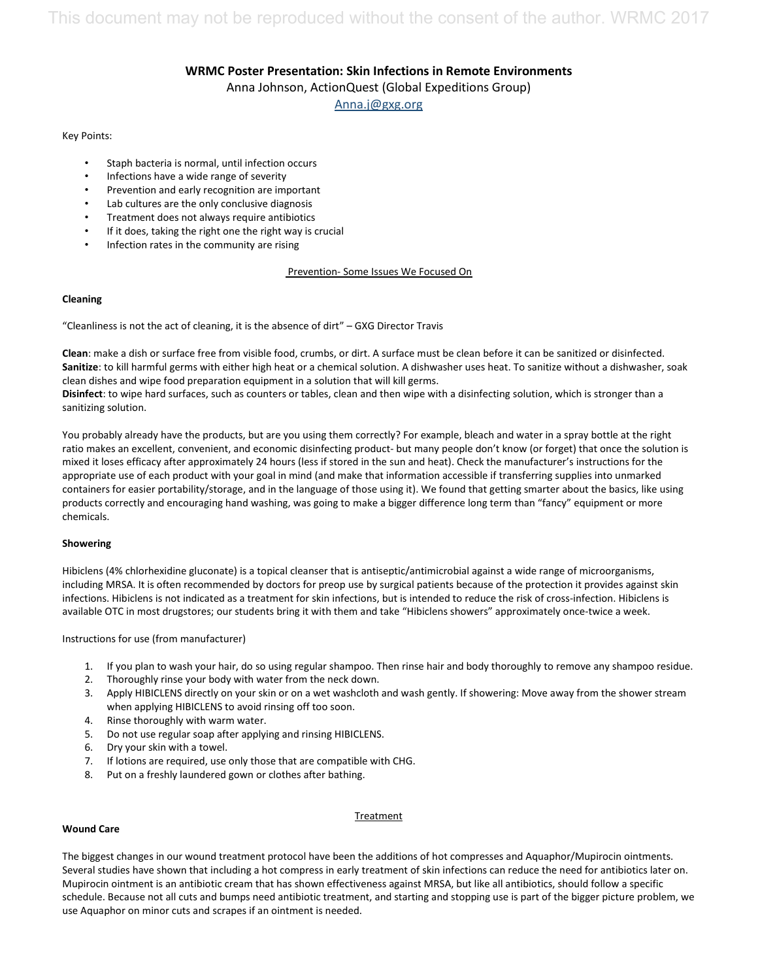# **WRMC Poster Presentation: Skin Infections in Remote Environments** Anna Johnson, ActionQuest (Global Expeditions Group) [Anna.j@gxg.org](mailto:Anna.j@gxg.org)

#### Key Points:

- Staph bacteria is normal, until infection occurs
- Infections have a wide range of severity
- Prevention and early recognition are important
- Lab cultures are the only conclusive diagnosis
- Treatment does not always require antibiotics
- If it does, taking the right one the right way is crucial
- Infection rates in the community are rising

## Prevention- Some Issues We Focused On

#### **Cleaning**

"Cleanliness is not the act of cleaning, it is the absence of dirt" – GXG Director Travis

**Clean**: make a dish or surface free from visible food, crumbs, or dirt. A surface must be clean before it can be sanitized or disinfected. **Sanitize**: to kill harmful germs with either high heat or a chemical solution. A dishwasher uses heat. To sanitize without a dishwasher, soak clean dishes and wipe food preparation equipment in a solution that will kill germs.

**Disinfect**: to wipe hard surfaces, such as counters or tables, clean and then wipe with a disinfecting solution, which is stronger than a sanitizing solution.

You probably already have the products, but are you using them correctly? For example, bleach and water in a spray bottle at the right ratio makes an excellent, convenient, and economic disinfecting product- but many people don't know (or forget) that once the solution is mixed it loses efficacy after approximately 24 hours (less if stored in the sun and heat). Check the manufacturer's instructions for the appropriate use of each product with your goal in mind (and make that information accessible if transferring supplies into unmarked containers for easier portability/storage, and in the language of those using it). We found that getting smarter about the basics, like using products correctly and encouraging hand washing, was going to make a bigger difference long term than "fancy" equipment or more chemicals.

#### **Showering**

Hibiclens (4% chlorhexidine gluconate) is a topical cleanser that is antiseptic/antimicrobial against a wide range of microorganisms, including MRSA. It is often recommended by doctors for preop use by surgical patients because of the protection it provides against skin infections. Hibiclens is not indicated as a treatment for skin infections, but is intended to reduce the risk of cross-infection. Hibiclens is available OTC in most drugstores; our students bring it with them and take "Hibiclens showers" approximately once-twice a week.

Instructions for use (from manufacturer)

- 1. If you plan to wash your hair, do so using regular shampoo. Then rinse hair and body thoroughly to remove any shampoo residue.
- 2. Thoroughly rinse your body with water from the neck down.
- 3. Apply HIBICLENS directly on your skin or on a wet washcloth and wash gently. If showering: Move away from the shower stream when applying HIBICLENS to avoid rinsing off too soon.
- 4. Rinse thoroughly with warm water.
- 5. Do not use regular soap after applying and rinsing HIBICLENS.
- 6. Dry your skin with a towel.
- 7. If lotions are required, use only those that are compatible with CHG.
- 8. Put on a freshly laundered gown or clothes after bathing.

#### **Treatment**

#### **Wound Care**

The biggest changes in our wound treatment protocol have been the additions of hot compresses and Aquaphor/Mupirocin ointments. Several studies have shown that including a hot compress in early treatment of skin infections can reduce the need for antibiotics later on. Mupirocin ointment is an antibiotic cream that has shown effectiveness against MRSA, but like all antibiotics, should follow a specific schedule. Because not all cuts and bumps need antibiotic treatment, and starting and stopping use is part of the bigger picture problem, we use Aquaphor on minor cuts and scrapes if an ointment is needed.